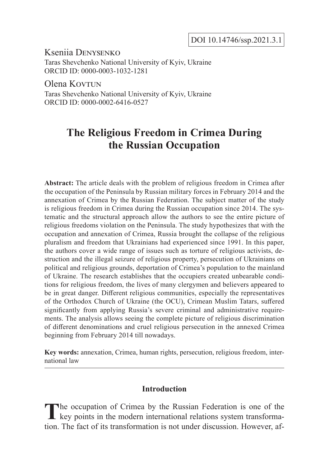DOI 10.14746/ssp.2021.3.1

Kseniia Denysenko Taras Shevchenko National University of Kyiv, Ukraine ORCID ID: 0000-0003-1032-1281

Olena Kov<sub>TUN</sub> Taras Shevchenko National University of Kyiv, Ukraine ORCID ID: 0000-0002-6416-0527

# **The Religious Freedom in Crimea During the Russian Occupation**

**Abstract:** The article deals with the problem of religious freedom in Crimea after the occupation of the Peninsula by Russian military forces in February 2014 and the annexation of Crimea by the Russian Federation. The subject matter of the study is religious freedom in Crimea during the Russian occupation since 2014. The systematic and the structural approach allow the authors to see the entire picture of religious freedoms violation on the Peninsula. The study hypothesizes that with the occupation and annexation of Crimea, Russia brought the collapse of the religious pluralism and freedom that Ukrainians had experienced since 1991. In this paper, the authors cover a wide range of issues such as torture of religious activists, destruction and the illegal seizure of religious property, persecution of Ukrainians on political and religious grounds, deportation of Crimea's population to the mainland of Ukraine. The research establishes that the occupiers created unbearable conditions for religious freedom, the lives of many clergymen and believers appeared to be in great danger. Different religious communities, especially the representatives of the Orthodox Church of Ukraine (the OCU), Crimean Muslim Tatars, suffered significantly from applying Russia's severe criminal and administrative requirements. The analysis allows seeing the complete picture of religious discrimination of different denominations and cruel religious persecution in the annexed Crimea beginning from February 2014 till nowadays.

**Key words:** annexation, Crimea, human rights, persecution, religious freedom, international law

## **Introduction**

The occupation of Crimea by the Russian Federation is one of the  $\blacksquare$  key points in the modern international relations system transformation. The fact of its transformation is not under discussion. However, af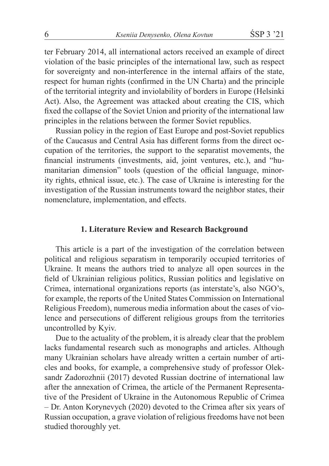ter February 2014, all international actors received an example of direct violation of the basic principles of the international law, such as respect for sovereignty and non-interference in the internal affairs of the state, respect for human rights (confirmed in the UN Charta) and the principle of the territorial integrity and inviolability of borders in Europe (Helsinki Act). Also, the Agreement was attacked about creating the CIS, which fixed the collapse of the Soviet Union and priority of the international law principles in the relations between the former Soviet republics.

Russian policy in the region of East Europe and post-Soviet republics of the Caucasus and Central Asia has different forms from the direct occupation of the territories, the support to the separatist movements, the financial instruments (investments, aid, joint ventures, etc.), and "humanitarian dimension" tools (question of the official language, minority rights, ethnical issue, etc.). The case of Ukraine is interesting for the investigation of the Russian instruments toward the neighbor states, their nomenclature, implementation, and effects.

#### **1. Literature Review and Research Background**

This article is a part of the investigation of the correlation between political and religious separatism in temporarily occupied territories of Ukraine. It means the authors tried to analyze all open sources in the field of Ukrainian religious politics, Russian politics and legislative on Crimea, international organizations reports (as interstate's, also NGO's, for example, the reports of the United States Commission on International Religious Freedom), numerous media information about the cases of violence and persecutions of different religious groups from the territories uncontrolled by Kyiv.

Due to the actuality of the problem, it is already clear that the problem lacks fundamental research such as monographs and articles. Although many Ukrainian scholars have already written a certain number of articles and books, for example, a comprehensive study of professor Oleksandr Zadorozhnii (2017) devoted Russian doctrine of international law after the annexation of Crimea, the article of the Permanent Representative of the President of Ukraine in the Autonomous Republic of Crimea – Dr. Anton Korynevych (2020) devoted to the Crimea after six years of Russian occupation, a grave violation of religious freedoms have not been studied thoroughly yet.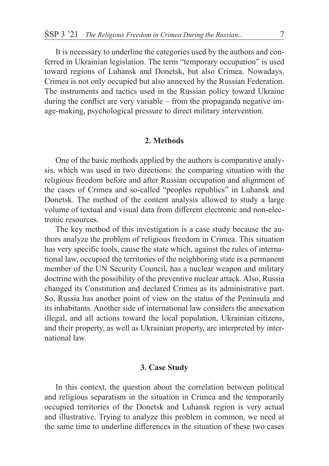It is necessary to underline the categories used by the authors and conferred in Ukrainian legislation. The term "temporary occupation" is used toward regions of Luhansk and Donetsk, but also Crimea. Nowadays, Crimea is not only occupied but also annexed by the Russian Federation. The instruments and tactics used in the Russian policy toward Ukraine during the conflict are very variable – from the propaganda negative image-making, psychological pressure to direct military intervention.

#### **2. Methods**

One of the basic methods applied by the authors is comparative analysis, which was used in two directions: the comparing situation with the religious freedom before and after Russian occupation and alignment of the cases of Crimea and so-called "peoples republics" in Luhansk and Donetsk. The method of the content analysis allowed to study a large volume of textual and visual data from different electronic and non-electronic resources.

The key method of this investigation is a case study because the authors analyze the problem of religious freedom in Crimea. This situation has very specific tools, cause the state which, against the rules of international law, occupied the territories of the neighboring state is a permanent member of the UN Security Council, has a nuclear weapon and military doctrine with the possibility of the preventive nuclear attack. Also, Russia changed its Constitution and declared Crimea as its administrative part. So, Russia has another point of view on the status of the Peninsula and its inhabitants. Another side of international law considers the annexation illegal, and all actions toward the local population, Ukrainian citizens, and their property, as well as Ukrainian property, are interpreted by international law.

## **3. Case Study**

In this context, the question about the correlation between political and religious separatism in the situation in Crimea and the temporarily occupied territories of the Donetsk and Luhansk region is very actual and illustrative. Trying to analyze this problem in common, we need at the same time to underline differences in the situation of these two cases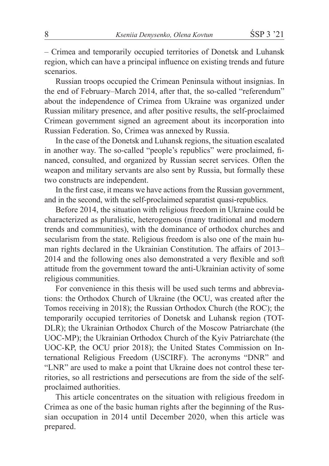– Crimea and temporarily occupied territories of Donetsk and Luhansk region, which can have a principal influence on existing trends and future scenarios.

Russian troops occupied the Crimean Peninsula without insignias. In the end of February–March 2014, after that, the so-called "referendum" about the independence of Crimea from Ukraine was organized under Russian military presence, and after positive results, the self-proclaimed Crimean government signed an agreement about its incorporation into Russian Federation. So, Crimea was annexed by Russia.

In the case of the Donetsk and Luhansk regions, the situation escalated in another way. The so-called "people's republics" were proclaimed, financed, consulted, and organized by Russian secret services. Often the weapon and military servants are also sent by Russia, but formally these two constructs are independent.

In the first case, it means we have actions from the Russian government, and in the second, with the self-proclaimed separatist quasi-republics.

Before 2014, the situation with religious freedom in Ukraine could be characterized as pluralistic, heterogenous (many traditional and modern trends and communities), with the dominance of orthodox churches and secularism from the state. Religious freedom is also one of the main human rights declared in the Ukrainian Constitution. The affairs of 2013– 2014 and the following ones also demonstrated a very flexible and soft attitude from the government toward the anti-Ukrainian activity of some religious communities.

For convenience in this thesis will be used such terms and abbreviations: the Orthodox Church of Ukraine (the OCU, was created after the Tomos receiving in 2018); the Russian Orthodox Church (the ROC); the temporarily occupied territories of Donetsk and Luhansk region (TOT-DLR); the Ukrainian Orthodox Church of the Moscow Patriarchate (the UOC-MP); the Ukrainian Orthodox Church of the Kyiv Patriarchate (the UOC-KP, the OCU prior 2018); the United States Commission on International Religious Freedom (USCIRF). The acronyms "DNR" and "LNR" are used to make a point that Ukraine does not control these territories, so all restrictions and persecutions are from the side of the selfproclaimed authorities.

This article concentrates on the situation with religious freedom in Crimea as one of the basic human rights after the beginning of the Russian occupation in 2014 until December 2020, when this article was prepared.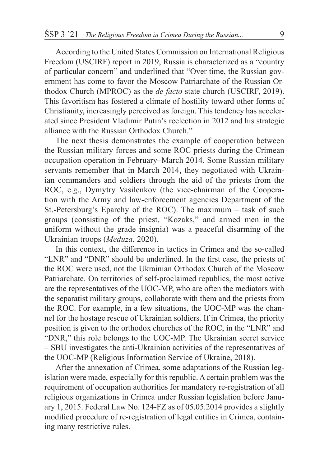According to the United States Commission on International Religious Freedom (USCIRF) report in 2019, Russia is characterized as a "country of particular concern" and underlined that "Over time, the Russian government has come to favor the Moscow Patriarchate of the Russian Orthodox Church (MPROC) as the *de facto* state church (USCIRF, 2019). This favoritism has fostered a climate of hostility toward other forms of Christianity, increasingly perceived as foreign. This tendency has accelerated since President Vladimir Putin's reelection in 2012 and his strategic alliance with the Russian Orthodox Church."

The next thesis demonstrates the example of cooperation between the Russian military forces and some ROC priests during the Crimean occupation operation in February–March 2014. Some Russian military servants remember that in March 2014, they negotiated with Ukrainian commanders and soldiers through the aid of the priests from the ROC, e.g., Dymytry Vasilenkov (the vice-chairman of the Cooperation with the Army and law-enforcement agencies Department of the St.-Petersburg's Eparchy of the ROC). The maximum – task of such groups (consisting of the priest, "Kozaks," and armed men in the uniform without the grade insignia) was a peaceful disarming of the Ukrainian troops (*Meduza*, 2020).

In this context, the difference in tactics in Crimea and the so-called "LNR" and "DNR" should be underlined. In the first case, the priests of the ROC were used, not the Ukrainian Orthodox Church of the Moscow Patriarchate. On territories of self-proclaimed republics, the most active are the representatives of the UOC-MP, who are often the mediators with the separatist military groups, collaborate with them and the priests from the ROC. For example, in a few situations, the UOC-MP was the channel for the hostage rescue of Ukrainian soldiers. If in Crimea, the priority position is given to the orthodox churches of the ROC, in the "LNR" and "DNR," this role belongs to the UOC-MP. The Ukrainian secret service – SBU investigates the anti-Ukrainian activities of the representatives of the UOC-MP (Religious Information Service of Ukraine, 2018).

After the annexation of Crimea, some adaptations of the Russian legislation were made, especially for this republic. A certain problem was the requirement of occupation authorities for mandatory re-registration of all religious organizations in Crimea under Russian legislation before January 1, 2015. Federal Law No. 124-FZ as of 05.05.2014 provides a slightly modified procedure of re-registration of legal entities in Crimea, containing many restrictive rules.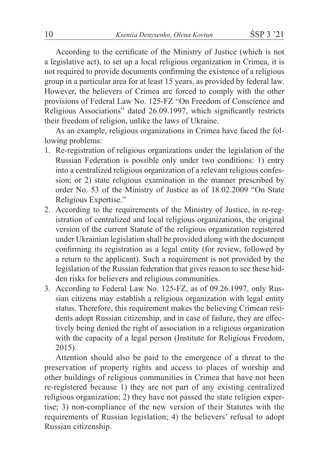According to the certificate of the Ministry of Justice (which is not a legislative act), to set up a local religious organization in Crimea, it is not required to provide documents confirming the existence of a religious group in a particular area for at least 15 years, as provided by federal law. However, the believers of Crimea are forced to comply with the other provisions of Federal Law No. 125-FZ "On Freedom of Conscience and Religious Associations" dated 26.09.1997, which significantly restricts their freedom of religion, unlike the laws of Ukraine.

As an example, religious organizations in Crimea have faced the following problems:

- 1. Re-registration of religious organizations under the legislation of the Russian Federation is possible only under two conditions: 1) entry into a centralized religious organization of a relevant religious confession; or 2) state religious examination in the manner prescribed by order No. 53 of the Ministry of Justice as of 18.02.2009 "On State Religious Expertise."
- 2. According to the requirements of the Ministry of Justice, in re-registration of centralized and local religious organizations, the original version of the current Statute of the religious organization registered under Ukrainian legislation shall be provided along with the document confirming its registration as a legal entity (for review, followed by a return to the applicant). Such a requirement is not provided by the legislation of the Russian federation that gives reason to see these hidden risks for believers and religious communities.
- 3. According to Federal Law No. 125-FZ, as of 09.26.1997, only Russian citizens may establish a religious organization with legal entity status. Therefore, this requirement makes the believing Crimean residents adopt Russian citizenship, and in case of failure, they are effectively being denied the right of association in a religious organization with the capacity of a legal person (Institute for Religious Freedom, 2015).

Attention should also be paid to the emergence of a threat to the preservation of property rights and access to places of worship and other buildings of religious communities in Crimea that have not been re-registered because 1) they are not part of any existing centralized religious organization; 2) they have not passed the state religion expertise; 3) non-compliance of the new version of their Statutes with the requirements of Russian legislation; 4) the believers' refusal to adopt Russian citizenship.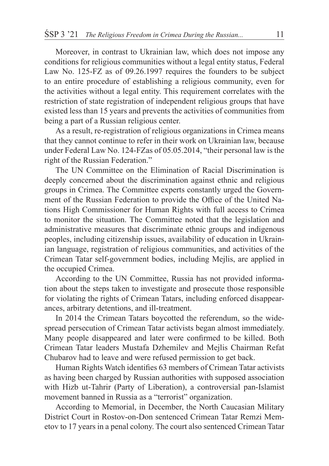Moreover, in contrast to Ukrainian law, which does not impose any conditions for religious communities without a legal entity status, Federal Law No. 125-FZ as of 09.26.1997 requires the founders to be subject to an entire procedure of establishing a religious community, even for the activities without a legal entity. This requirement correlates with the restriction of state registration of independent religious groups that have existed less than 15 years and prevents the activities of communities from being a part of a Russian religious center.

As a result, re-registration of religious organizations in Crimea means that they cannot continue to refer in their work on Ukrainian law, because under Federal Law No. 124-FZas of 05.05.2014, "their personal law is the right of the Russian Federation."

The UN Committee on the Elimination of Racial Discrimination is deeply concerned about the discrimination against ethnic and religious groups in Crimea. The Committee experts constantly urged the Government of the Russian Federation to provide the Office of the United Nations High Commissioner for Human Rights with full access to Crimea to monitor the situation. The Committee noted that the legislation and administrative measures that discriminate ethnic groups and indigenous peoples, including citizenship issues, availability of education in Ukrainian language, registration of religious communities, and activities of the Crimean Tatar self-government bodies, including Mejlis, are applied in the occupied Crimea.

According to the UN Committee, Russia has not provided information about the steps taken to investigate and prosecute those responsible for violating the rights of Crimean Tatars, including enforced disappearances, arbitrary detentions, and ill-treatment.

In 2014 the Crimean Tatars boycotted the referendum, so the widespread persecution of Crimean Tatar activists began almost immediately. Many people disappeared and later were confirmed to be killed. Both Crimean Tatar leaders Mustafa Dzhemilev and Mejlis Chairman Refat Chubarov had to leave and were refused permission to get back.

Human Rights Watch identifies 63 members of Crimean Tatar activists as having been charged by Russian authorities with supposed association with Hizb ut-Tahrir (Party of Liberation), a controversial pan-Islamist movement banned in Russia as a "terrorist" organization.

According to Memorial, in December, the North Caucasian Military District Court in Rostov-on-Don sentenced Crimean Tatar Remzi Memetov to 17 years in a penal colony. The court also sentenced Crimean Tatar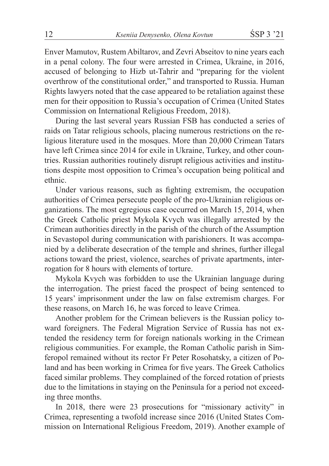Enver Mamutov, Rustem Abiltarov, and Zevri Abseitov to nine years each in a penal colony. The four were arrested in Crimea, Ukraine, in 2016, accused of belonging to Hizb ut-Tahrir and "preparing for the violent overthrow of the constitutional order," and transported to Russia. Human Rights lawyers noted that the case appeared to be retaliation against these men for their opposition to Russia's occupation of Crimea (United States Commission on International Religious Freedom, 2018).

During the last several years Russian FSB has conducted a series of raids on Tatar religious schools, placing numerous restrictions on the religious literature used in the mosques. More than 20,000 Crimean Tatars have left Crimea since 2014 for exile in Ukraine, Turkey, and other countries. Russian authorities routinely disrupt religious activities and institutions despite most opposition to Crimea's occupation being political and ethnic.

Under various reasons, such as fighting extremism, the occupation authorities of Crimea persecute people of the pro-Ukrainian religious organizations. The most egregious case occurred on March 15, 2014, when the Greek Catholic priest Mykola Kvych was illegally arrested by the Crimean authorities directly in the parish of the church of the Assumption in Sevastopol during communication with parishioners. It was accompanied by a deliberate desecration of the temple and shrines, further illegal actions toward the priest, violence, searches of private apartments, interrogation for 8 hours with elements of torture.

Mykola Kvych was forbidden to use the Ukrainian language during the interrogation. The priest faced the prospect of being sentenced to 15 years' imprisonment under the law on false extremism charges. For these reasons, on March 16, he was forced to leave Crimea.

Another problem for the Crimean believers is the Russian policy toward foreigners. The Federal Migration Service of Russia has not extended the residency term for foreign nationals working in the Crimean religious communities. For example, the Roman Catholic parish in Simferopol remained without its rector Fr Peter Rosohatsky, a citizen of Poland and has been working in Crimea for five years. The Greek Catholics faced similar problems. They complained of the forced rotation of priests due to the limitations in staying on the Peninsula for a period not exceeding three months.

In 2018, there were 23 prosecutions for "missionary activity" in Crimea, representing a twofold increase since 2016 (United States Commission on International Religious Freedom, 2019). Another example of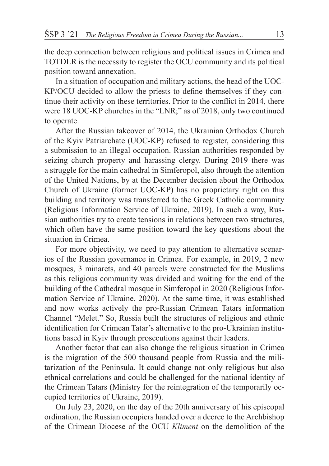the deep connection between religious and political issues in Crimea and TOTDLR is the necessity to register the OCU community and its political position toward annexation.

In a situation of occupation and military actions, the head of the UOC-KP/OCU decided to allow the priests to define themselves if they continue their activity on these territories. Prior to the conflict in 2014, there were 18 UOC-KP churches in the "LNR;" as of 2018, only two continued to operate.

After the Russian takeover of 2014, the Ukrainian Orthodox Church of the Kyiv Patriarchate (UOC-KP) refused to register, considering this a submission to an illegal occupation. Russian authorities responded by seizing church property and harassing clergy. During 2019 there was a struggle for the main cathedral in Simferopol, also through the attention of the United Nations, by at the December decision about the Orthodox Church of Ukraine (former UOC-KP) has no proprietary right on this building and territory was transferred to the Greek Catholic community (Religious Information Service of Ukraine, 2019). In such a way, Russian authorities try to create tensions in relations between two structures, which often have the same position toward the key questions about the situation in Crimea.

For more objectivity, we need to pay attention to alternative scenarios of the Russian governance in Crimea. For example, in 2019, 2 new mosques, 3 minarets, and 40 parcels were constructed for the Muslims as this religious community was divided and waiting for the end of the building of the Cathedral mosque in Simferopol in 2020 (Religious Information Service of Ukraine, 2020). At the same time, it was established and now works actively the pro-Russian Crimean Tatars information Channel "Melet." So, Russia built the structures of religious and ethnic identification for Crimean Tatar's alternative to the pro-Ukrainian institutions based in Kyiv through prosecutions against their leaders.

Another factor that can also change the religious situation in Crimea is the migration of the 500 thousand people from Russia and the militarization of the Peninsula. It could change not only religious but also ethnical correlations and could be challenged for the national identity of the Crimean Tatars (Ministry for the reintegration of the temporarily occupied territories of Ukraine, 2019).

On July 23, 2020, on the day of the 20th anniversary of his episcopal ordination, the Russian occupiers handed over a decree to the Archbishop of the Crimean Diocese of the OCU *Kliment* on the demolition of the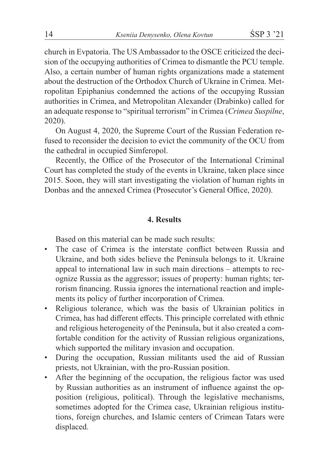church in Evpatoria. The US Ambassador to the OSCE criticized the decision of the occupying authorities of Crimea to dismantle the PCU temple. Also, a certain number of human rights organizations made a statement about the destruction of the Orthodox Church of Ukraine in Crimea. Metropolitan Epiphanius condemned the actions of the occupying Russian authorities in Crimea, and Metropolitan Alexander (Drabinko) called for an adequate response to "spiritual terrorism" in Crimea (*Crimea Suspilne*, 2020).

On August 4, 2020, the Supreme Court of the Russian Federation refused to reconsider the decision to evict the community of the OCU from the cathedral in occupied Simferopol.

Recently, the Office of the Prosecutor of the International Criminal Court has completed the study of the events in Ukraine, taken place since 2015. Soon, they will start investigating the violation of human rights in Donbas and the annexed Crimea (Prosecutor's General Office, 2020).

#### **4. Results**

Based on this material can be made such results:

- The case of Crimea is the interstate conflict between Russia and Ukraine, and both sides believe the Peninsula belongs to it. Ukraine appeal to international law in such main directions – attempts to recognize Russia as the aggressor; issues of property: human rights; terrorism financing. Russia ignores the international reaction and implements its policy of further incorporation of Crimea.
- Religious tolerance, which was the basis of Ukrainian politics in Crimea, has had different effects. This principle correlated with ethnic and religious heterogeneity of the Peninsula, but it also created a comfortable condition for the activity of Russian religious organizations, which supported the military invasion and occupation.
- During the occupation, Russian militants used the aid of Russian priests, not Ukrainian, with the pro-Russian position.
- After the beginning of the occupation, the religious factor was used by Russian authorities as an instrument of influence against the opposition (religious, political). Through the legislative mechanisms, sometimes adopted for the Crimea case, Ukrainian religious institutions, foreign churches, and Islamic centers of Crimean Tatars were displaced.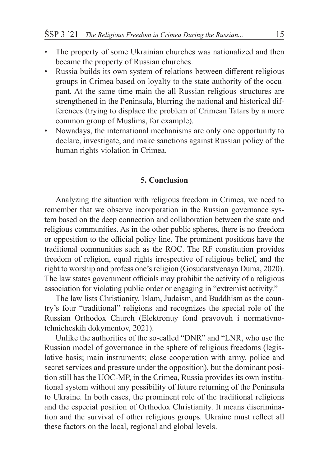- The property of some Ukrainian churches was nationalized and then became the property of Russian churches.
- Russia builds its own system of relations between different religious groups in Crimea based on loyalty to the state authority of the occupant. At the same time main the all-Russian religious structures are strengthened in the Peninsula, blurring the national and historical differences (trying to displace the problem of Crimean Tatars by a more common group of Muslims, for example).
- Nowadays, the international mechanisms are only one opportunity to declare, investigate, and make sanctions against Russian policy of the human rights violation in Crimea.

### **5. Conclusion**

Analyzing the situation with religious freedom in Crimea, we need to remember that we observe incorporation in the Russian governance system based on the deep connection and collaboration between the state and religious communities. As in the other public spheres, there is no freedom or opposition to the official policy line. The prominent positions have the traditional communities such as the ROC. The RF constitution provides freedom of religion, equal rights irrespective of religious belief, and the right to worship and profess one's religion (Gosudarstvenaya Duma, 2020). The law states government officials may prohibit the activity of a religious association for violating public order or engaging in "extremist activity."

The law lists Christianity, Islam, Judaism, and Buddhism as the country's four "traditional" religions and recognizes the special role of the Russian Orthodox Church (Elektronuy fond pravovuh i normativnotehnicheskih dokymentov, 2021).

Unlike the authorities of the so-called "DNR" and "LNR, who use the Russian model of governance in the sphere of religious freedoms (legislative basis; main instruments; close cooperation with army, police and secret services and pressure under the opposition), but the dominant position still has the UOC-MP, in the Crimea, Russia provides its own institutional system without any possibility of future returning of the Peninsula to Ukraine. In both cases, the prominent role of the traditional religions and the especial position of Orthodox Christianity. It means discrimination and the survival of other religious groups. Ukraine must reflect all these factors on the local, regional and global levels.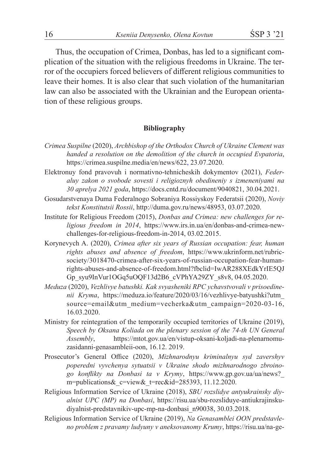Thus, the occupation of Crimea, Donbas, has led to a significant complication of the situation with the religious freedoms in Ukraine. The terror of the occupiers forced believers of different religious communities to leave their homes. It is also clear that such violation of the humanitarian law can also be associated with the Ukrainian and the European orientation of these religious groups.

#### **Bibliography**

- *Crimea Suspilne* (2020), *Archbishop of the Orthodox Church of Ukraine Clement was handed a resolution on the demolition of the church in occupied Evpatoria*, https://crimea.suspilne.media/en/news/622, 23.07.2020.
- Elektronuy fond pravovuh i normativno-tehnicheskih dokymentov (2021), *Federaluy zakon o svobode sovesti i religioznyh obedineniy s izmeneniyami na 30 aprelya 2021 goda*, https://docs.cntd.ru/document/9040821, 30.04.2021.
- Gosudarstvenaya Duma Federalnogo Sobraniya Rossiyskoy Federatsii (2020), *Noviy tekst Konstitutsii Rossii*, http://duma.gov.ru/news/48953, 03.07.2020.
- Institute for Religious Freedom (2015), *Donbas and Crimea: new challenges for religious freedom in 2014*, https://www.irs.in.ua/en/donbas-and-crimea-newchallenges-for-religious-freedom-in-2014, 03.02.2015.
- Korynevych A. (2020), *Crimea after six years of Russian occupation: fear, human rights abuses and absence of freedom*, https://www.ukrinform.net/rubricsociety/3018470-crimea-after-six-years-of-russian-occupation-fear-humanrights-abuses-and-absence-of-freedom.html?fbclid=IwAR288XEdkYrIE5QJ Gp\_syu9InVur1OGq5uOQF13d2B6\_cVPhYA29ZY\_s8v8, 04.05.2020.
- *Meduza* (2020), *Vezhlivye batushki. Kak svyasheniki RPC ychavstvovali v prisoedinenii Kryma*, https://meduza.io/feature/2020/03/16/vezhlivye-batyushki?utm\_ source=email&utm\_medium=vecherka&utm\_campaign=2020-03-16, 16.03.2020.
- Ministry for reintegration of the temporarily occupied territories of Ukraine (2019), *Speech by Oksana Koliada on the plenary session of the 74-th UN General Assembly*, https://mtot.gov.ua/en/vistup-oksani-koljadi-na-plenarnomuzasidanni-genasambleii-oon, 16.12. 2019.
- Prosecutor's General Office (2020), *Mizhnarodnyu kriminalnyu syd zavershyv poperedni vyvchenya sytuatsii v Ukraine shodo mizhnarodnogo zbroinogo konflikty na Donbasi ta v Krymy*, https://www.gp.gov.ua/ua/news?\_ m=publications&\_c=view&\_t=rec&id=285393, 11.12.2020.
- Religious Information Service of Ukraine (2018), *SBU rozslidye antyukrainsky diyalnist UPC (MP) na Donbasi*, https://risu.ua/sbu-rozsliduye-antiukrajinskudiyalnist-predstavnikiv-upc-mp-na-donbasi\_n90038, 30.03.2018.
- Religious Information Service of Ukraine (2019), *Na Genasamblei OON predstavleno problem z pravamy ludyuny v aneksovanomy Krumy*, https://risu.ua/na-ge-